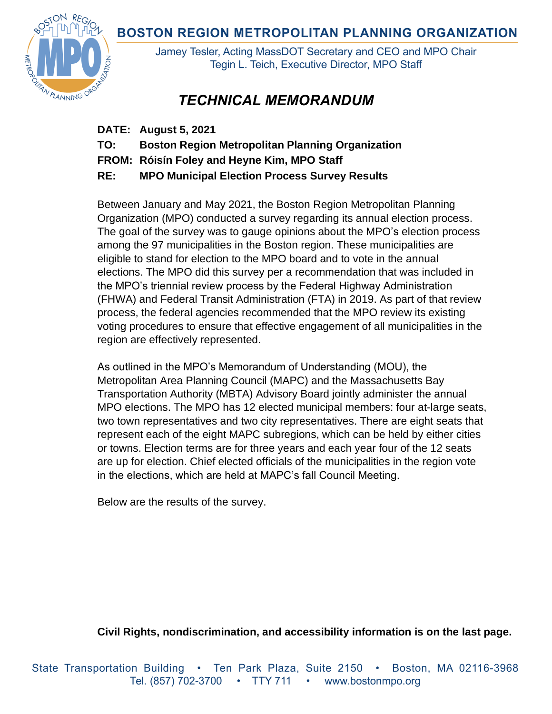**BOSTON REGION METROPOLITAN PLANNING ORGANIZATION** 



Jamey Tesler, Acting MassDOT Secretary and CEO and MPO Chair Tegin L. Teich, Executive Director, MPO Staff

# *TECHNICAL MEMORANDUM*

- **DATE: August 5, 2021**
- **TO: Boston Region Metropolitan Planning Organization**
- **FROM: Róisín Foley and Heyne Kim, MPO Staff**
- **RE: MPO Municipal Election Process Survey Results**

Between January and May 2021, the Boston Region Metropolitan Planning Organization (MPO) conducted a survey regarding its annual election process. The goal of the survey was to gauge opinions about the MPO's election process among the 97 municipalities in the Boston region. These municipalities are eligible to stand for election to the MPO board and to vote in the annual elections. The MPO did this survey per a recommendation that was included in the MPO's triennial review process by the Federal Highway Administration (FHWA) and Federal Transit Administration (FTA) in 2019. As part of that review process, the federal agencies recommended that the MPO review its existing voting procedures to ensure that effective engagement of all municipalities in the region are effectively represented.

As outlined in the MPO's Memorandum of Understanding (MOU), the Metropolitan Area Planning Council (MAPC) and the Massachusetts Bay Transportation Authority (MBTA) Advisory Board jointly administer the annual MPO elections. The MPO has 12 elected municipal members: four at-large seats, two town representatives and two city representatives. There are eight seats that represent each of the eight MAPC subregions, which can be held by either cities or towns. Election terms are for three years and each year four of the 12 seats are up for election. Chief elected officials of the municipalities in the region vote in the elections, which are held at MAPC's fall Council Meeting.

Below are the results of the survey.

**Civil Rights, nondiscrimination, and accessibility information is on the last page.**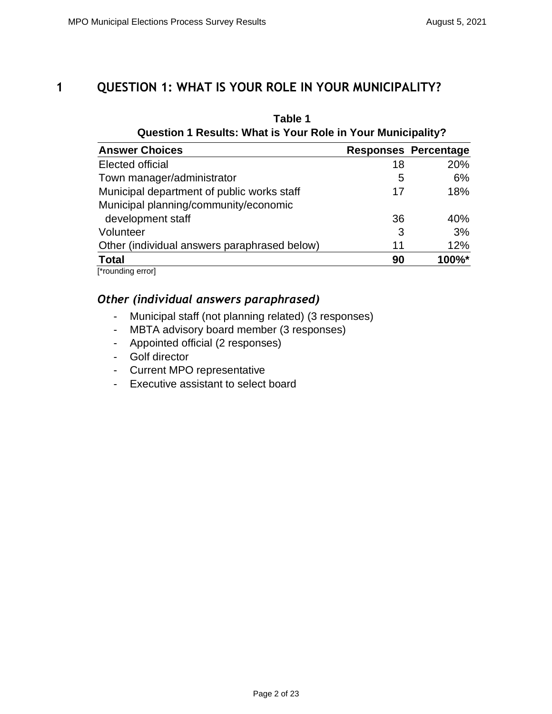# **1 QUESTION 1: WHAT IS YOUR ROLE IN YOUR MUNICIPALITY?**

| Table 1<br>Question 1 Results: What is Your Role in Your Municipality? |    |                             |  |
|------------------------------------------------------------------------|----|-----------------------------|--|
| <b>Answer Choices</b>                                                  |    | <b>Responses Percentage</b> |  |
| Elected official                                                       | 18 | 20%                         |  |
| Town manager/administrator                                             | 5  | 6%                          |  |
| Municipal department of public works staff                             | 17 | 18%                         |  |
| Municipal planning/community/economic                                  |    |                             |  |
| development staff                                                      | 36 | 40%                         |  |
| Volunteer                                                              | 3  | 3%                          |  |
| Other (individual answers paraphrased below)                           | 11 | 12%                         |  |
| <b>Total</b>                                                           | 90 | 100%*                       |  |
| $[*normal normal normal]$                                              |    |                             |  |

[\*rounding error]

- Municipal staff (not planning related) (3 responses)
- MBTA advisory board member (3 responses)
- Appointed official (2 responses)
- Golf director
- Current MPO representative
- Executive assistant to select board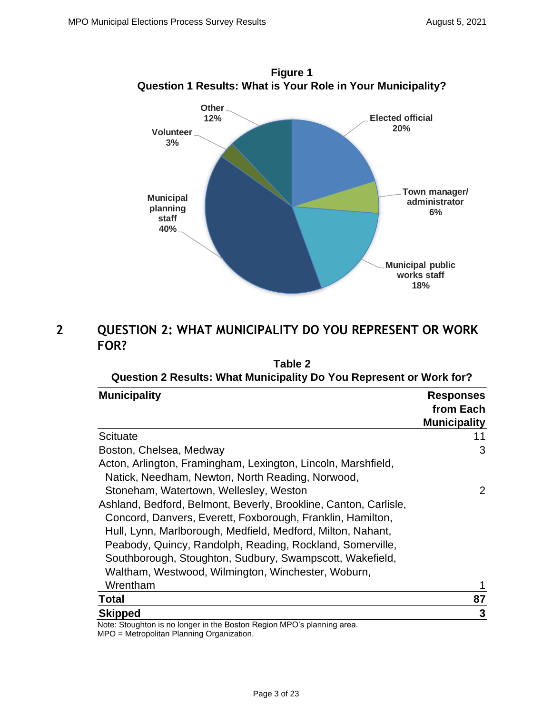

**Figure 1**

# **2 QUESTION 2: WHAT MUNICIPALITY DO YOU REPRESENT OR WORK FOR?**

| Table 2                                                                                                                                                                                                                                                                                                                                                                      |                                                      |  |
|------------------------------------------------------------------------------------------------------------------------------------------------------------------------------------------------------------------------------------------------------------------------------------------------------------------------------------------------------------------------------|------------------------------------------------------|--|
| Question 2 Results: What Municipality Do You Represent or Work for?                                                                                                                                                                                                                                                                                                          |                                                      |  |
| <b>Municipality</b>                                                                                                                                                                                                                                                                                                                                                          | <b>Responses</b><br>from Each<br><b>Municipality</b> |  |
| <b>Scituate</b>                                                                                                                                                                                                                                                                                                                                                              | 11                                                   |  |
| Boston, Chelsea, Medway                                                                                                                                                                                                                                                                                                                                                      | 3                                                    |  |
| Acton, Arlington, Framingham, Lexington, Lincoln, Marshfield,<br>Natick, Needham, Newton, North Reading, Norwood,                                                                                                                                                                                                                                                            |                                                      |  |
| Stoneham, Watertown, Wellesley, Weston                                                                                                                                                                                                                                                                                                                                       | $\overline{2}$                                       |  |
| Ashland, Bedford, Belmont, Beverly, Brookline, Canton, Carlisle,<br>Concord, Danvers, Everett, Foxborough, Franklin, Hamilton,<br>Hull, Lynn, Marlborough, Medfield, Medford, Milton, Nahant,<br>Peabody, Quincy, Randolph, Reading, Rockland, Somerville,<br>Southborough, Stoughton, Sudbury, Swampscott, Wakefield,<br>Waltham, Westwood, Wilmington, Winchester, Woburn, |                                                      |  |
| Wrentham                                                                                                                                                                                                                                                                                                                                                                     |                                                      |  |
| <b>Total</b>                                                                                                                                                                                                                                                                                                                                                                 | 87                                                   |  |
| <b>Skipped</b>                                                                                                                                                                                                                                                                                                                                                               | 3                                                    |  |
| Note: Stoughton is no longer in the Boston Region MPO's planning area.                                                                                                                                                                                                                                                                                                       |                                                      |  |

Note: Stoughton is no longer in the Boston Region MPO's planning area. MPO = Metropolitan Planning Organization.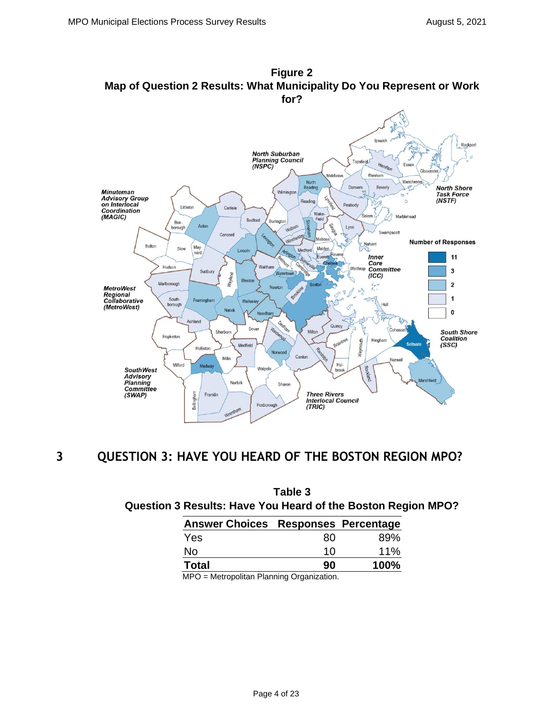

# **Figure 2 Map of Question 2 Results: What Municipality Do You Represent or Work**

## **3 QUESTION 3: HAVE YOU HEARD OF THE BOSTON REGION MPO?**

| Table 3<br>Question 3 Results: Have You Heard of the Boston Region MPO? |    |      |  |  |
|-------------------------------------------------------------------------|----|------|--|--|
| <b>Answer Choices Responses Percentage</b>                              |    |      |  |  |
| Yes                                                                     | 80 | 89%  |  |  |
| No                                                                      | 10 | 11%  |  |  |
| <b>Total</b>                                                            | 90 | 100% |  |  |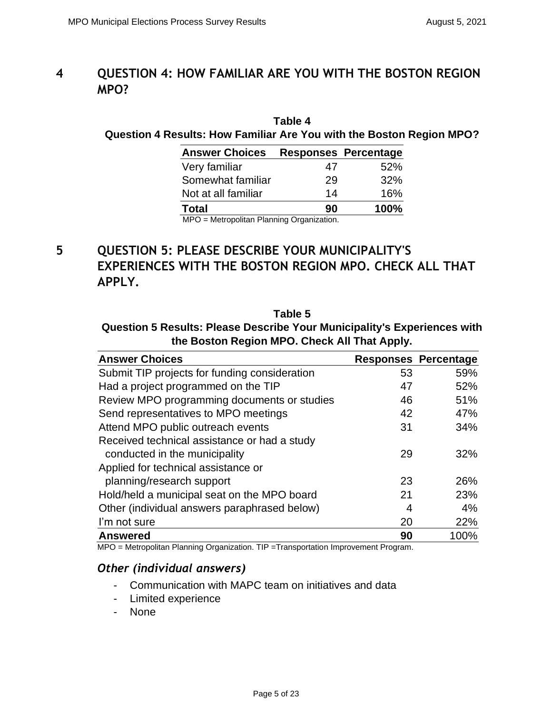# **4 QUESTION 4: HOW FAMILIAR ARE YOU WITH THE BOSTON REGION MPO?**

## **Table 4 Question 4 Results: How Familiar Are You with the Boston Region MPO?**

| <b>Answer Choices</b>     |          | <b>Responses Percentage</b> |
|---------------------------|----------|-----------------------------|
| Very familiar             | 47       | 52%                         |
| Somewhat familiar         | 29       | 32%                         |
| Not at all familiar       | 14       | 16%                         |
| <b>Total</b>              | 90       | 100%                        |
| $\cdots$<br>$\cdots$<br>. | ∽<br>. . |                             |

MPO = Metropolitan Planning Organization.

# **5 QUESTION 5: PLEASE DESCRIBE YOUR MUNICIPALITY'S EXPERIENCES WITH THE BOSTON REGION MPO. CHECK ALL THAT APPLY.**

**Table 5 Question 5 Results: Please Describe Your Municipality's Experiences with the Boston Region MPO. Check All That Apply.**

| <b>Answer Choices</b>                         |    | <b>Responses Percentage</b> |
|-----------------------------------------------|----|-----------------------------|
| Submit TIP projects for funding consideration | 53 | 59%                         |
| Had a project programmed on the TIP           | 47 | 52%                         |
| Review MPO programming documents or studies   | 46 | 51%                         |
| Send representatives to MPO meetings          | 42 | 47%                         |
| Attend MPO public outreach events             | 31 | 34%                         |
| Received technical assistance or had a study  |    |                             |
| conducted in the municipality                 | 29 | 32%                         |
| Applied for technical assistance or           |    |                             |
| planning/research support                     | 23 | 26%                         |
| Hold/held a municipal seat on the MPO board   | 21 | 23%                         |
| Other (individual answers paraphrased below)  | 4  | 4%                          |
| I'm not sure                                  | 20 | 22%                         |
| <b>Answered</b>                               | 90 | 100%                        |

MPO = Metropolitan Planning Organization. TIP =Transportation Improvement Program.

### *Other (individual answers)*

- Communication with MAPC team on initiatives and data
- Limited experience
- None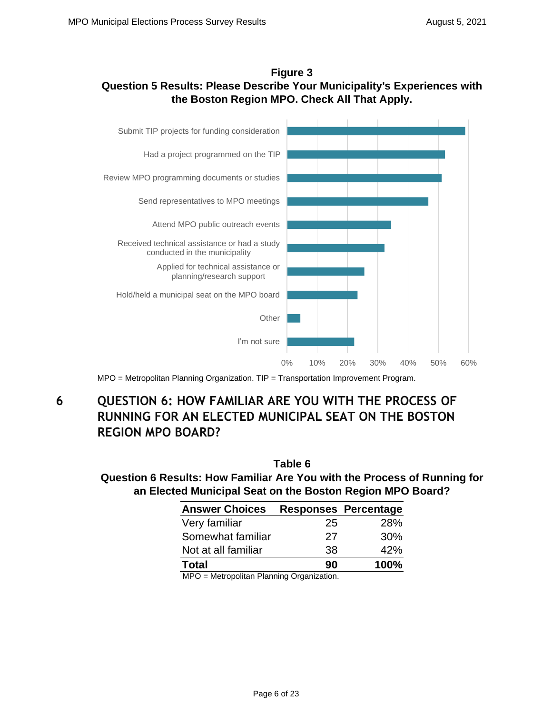### **Figure 3 Question 5 Results: Please Describe Your Municipality's Experiences with the Boston Region MPO. Check All That Apply.**



MPO = Metropolitan Planning Organization. TIP = Transportation Improvement Program.

# **6 QUESTION 6: HOW FAMILIAR ARE YOU WITH THE PROCESS OF RUNNING FOR AN ELECTED MUNICIPAL SEAT ON THE BOSTON REGION MPO BOARD?**

|                                                                          | Table 6 |                             |  |
|--------------------------------------------------------------------------|---------|-----------------------------|--|
| Question 6 Results: How Familiar Are You with the Process of Running for |         |                             |  |
| an Elected Municipal Seat on the Boston Region MPO Board?                |         |                             |  |
| <b>Answer Choices</b>                                                    |         | <b>Responses Percentage</b> |  |
|                                                                          |         |                             |  |

| <b>AUSWEL VIIVILES</b>    |    | <b>ITESPAILSES I CITEIIIANE</b> |
|---------------------------|----|---------------------------------|
| Very familiar             | 25 | <b>28%</b>                      |
| Somewhat familiar         | 27 | 30%                             |
| Not at all familiar       | 38 | 42%                             |
| <b>Total</b>              | 90 | 100%                            |
| $\cdots$<br>$\cdots$<br>. | ~  |                                 |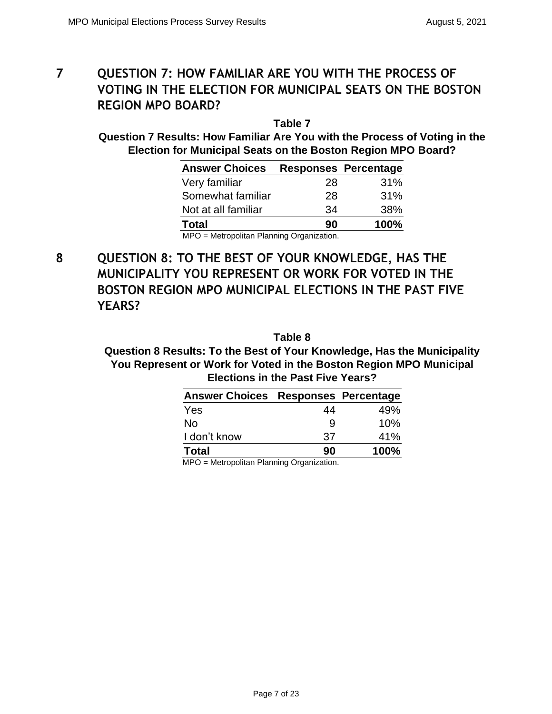# **7 QUESTION 7: HOW FAMILIAR ARE YOU WITH THE PROCESS OF VOTING IN THE ELECTION FOR MUNICIPAL SEATS ON THE BOSTON REGION MPO BOARD?**

**Table 7 Question 7 Results: How Familiar Are You with the Process of Voting in the Election for Municipal Seats on the Boston Region MPO Board?**

| <b>Answer Choices</b>                      |    | <b>Responses Percentage</b> |
|--------------------------------------------|----|-----------------------------|
| Very familiar                              | 28 | 31%                         |
| Somewhat familiar                          | 28 | 31%                         |
| Not at all familiar                        | 34 | 38%                         |
| <b>Total</b>                               | 90 | 100%                        |
| $MPO = Metronolitan Plannina Oraanization$ |    |                             |

= Metropolitan Planning Organization.

**8 QUESTION 8: TO THE BEST OF YOUR KNOWLEDGE, HAS THE MUNICIPALITY YOU REPRESENT OR WORK FOR VOTED IN THE BOSTON REGION MPO MUNICIPAL ELECTIONS IN THE PAST FIVE YEARS?**

**Table 8**

**Question 8 Results: To the Best of Your Knowledge, Has the Municipality You Represent or Work for Voted in the Boston Region MPO Municipal Elections in the Past Five Years?**

| <b>Answer Choices Responses Percentage</b> |    |      |
|--------------------------------------------|----|------|
| Yes                                        | 44 | 49%  |
| No                                         | 9  | 10%  |
| I don't know                               | 37 | 41%  |
| <b>Total</b>                               | 90 | 100% |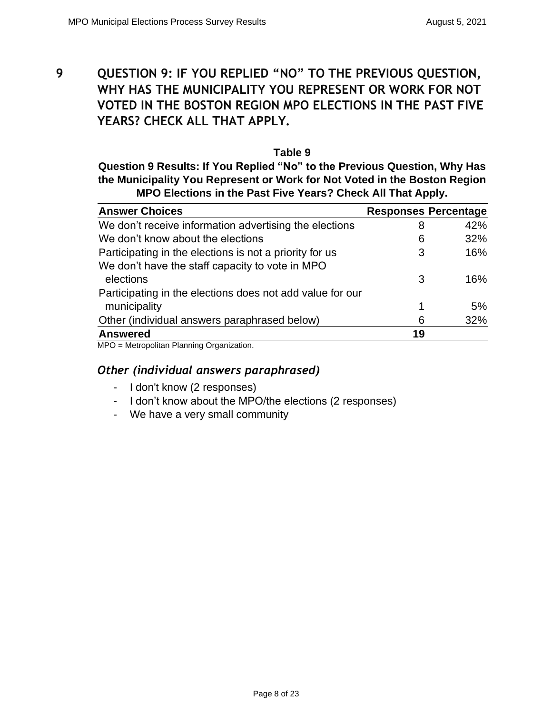**9 QUESTION 9: IF YOU REPLIED "NO" TO THE PREVIOUS QUESTION, WHY HAS THE MUNICIPALITY YOU REPRESENT OR WORK FOR NOT VOTED IN THE BOSTON REGION MPO ELECTIONS IN THE PAST FIVE YEARS? CHECK ALL THAT APPLY.**

#### **Table 9**

**Question 9 Results: If You Replied "No" to the Previous Question, Why Has the Municipality You Represent or Work for Not Voted in the Boston Region MPO Elections in the Past Five Years? Check All That Apply.**

| <b>Answer Choices</b>                                     |    | <b>Responses Percentage</b> |
|-----------------------------------------------------------|----|-----------------------------|
| We don't receive information advertising the elections    | 8  | 42%                         |
| We don't know about the elections                         | 6  | 32%                         |
| Participating in the elections is not a priority for us   | 3  | 16%                         |
| We don't have the staff capacity to vote in MPO           |    |                             |
| elections                                                 | 3  | 16%                         |
| Participating in the elections does not add value for our |    |                             |
| municipality                                              | 1  | 5%                          |
| Other (individual answers paraphrased below)              | 6  | 32%                         |
| <b>Answered</b>                                           | 19 |                             |

MPO = Metropolitan Planning Organization.

- I don't know (2 responses)
- I don't know about the MPO/the elections (2 responses)
- We have a very small community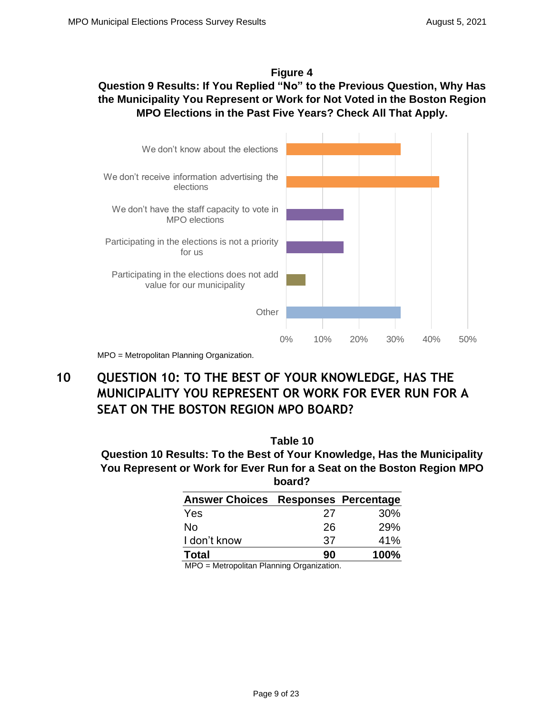### **Figure 4**

## **Question 9 Results: If You Replied "No" to the Previous Question, Why Has the Municipality You Represent or Work for Not Voted in the Boston Region MPO Elections in the Past Five Years? Check All That Apply.**



# MPO = Metropolitan Planning Organization.

# **10 QUESTION 10: TO THE BEST OF YOUR KNOWLEDGE, HAS THE MUNICIPALITY YOU REPRESENT OR WORK FOR EVER RUN FOR A SEAT ON THE BOSTON REGION MPO BOARD?**

**Question 10 Results: To the Best of Your Knowledge, Has the Municipality You Represent or Work for Ever Run for a Seat on the Boston Region MPO board?**

| <b>Answer Choices Responses Percentage</b> |    |      |
|--------------------------------------------|----|------|
| <b>Yes</b>                                 | 27 | 30%  |
| No                                         | 26 | 29%  |
| I don't know                               | 37 | 41%  |
| <b>Total</b>                               | 90 | 100% |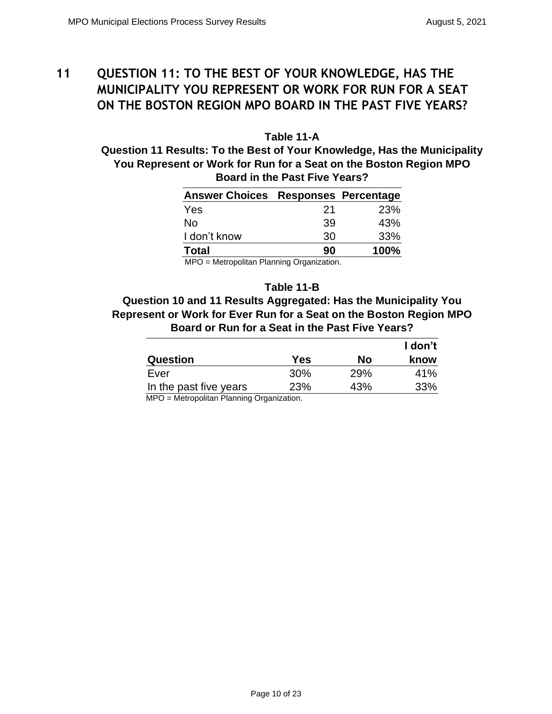# **11 QUESTION 11: TO THE BEST OF YOUR KNOWLEDGE, HAS THE MUNICIPALITY YOU REPRESENT OR WORK FOR RUN FOR A SEAT ON THE BOSTON REGION MPO BOARD IN THE PAST FIVE YEARS?**

**Table 11-A Question 11 Results: To the Best of Your Knowledge, Has the Municipality You Represent or Work for Run for a Seat on the Boston Region MPO Board in the Past Five Years?**

| Answer Choices Responses Percentage |    |            |
|-------------------------------------|----|------------|
| Yes                                 | 21 | <b>23%</b> |
| No                                  | 39 | 43%        |
| I don't know                        | 30 | 33%        |
| <b>Total</b>                        | 90 | 100%       |

MPO = Metropolitan Planning Organization.

#### **Table 11-B**

**Question 10 and 11 Results Aggregated: Has the Municipality You Represent or Work for Ever Run for a Seat on the Boston Region MPO Board or Run for a Seat in the Past Five Years?** 

|                                                            |     |     | I don't |
|------------------------------------------------------------|-----|-----|---------|
| Question                                                   | Yes | Nο  | know    |
| Ever                                                       | 30% | 29% | 41%     |
| In the past five years                                     | 23% | 43% | 33%     |
| $MDO$ $Mation$ $Dleq$ $Dleq$ $Dleq$ $Dleq$ $Doneq$ $Doneq$ |     |     |         |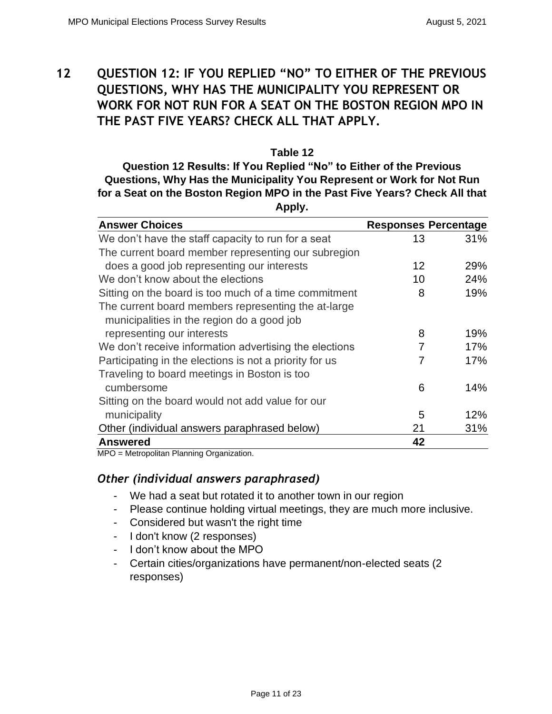# **12 QUESTION 12: IF YOU REPLIED "NO" TO EITHER OF THE PREVIOUS QUESTIONS, WHY HAS THE MUNICIPALITY YOU REPRESENT OR WORK FOR NOT RUN FOR A SEAT ON THE BOSTON REGION MPO IN THE PAST FIVE YEARS? CHECK ALL THAT APPLY.**

### **Table 12 Question 12 Results: If You Replied "No" to Either of the Previous Questions, Why Has the Municipality You Represent or Work for Not Run for a Seat on the Boston Region MPO in the Past Five Years? Check All that Apply.**

| <b>Answer Choices</b>                                                                             | <b>Responses Percentage</b> |     |
|---------------------------------------------------------------------------------------------------|-----------------------------|-----|
| We don't have the staff capacity to run for a seat                                                | 13                          | 31% |
| The current board member representing our subregion                                               |                             |     |
| does a good job representing our interests                                                        | 12                          | 29% |
| We don't know about the elections                                                                 | 10                          | 24% |
| Sitting on the board is too much of a time commitment                                             | 8                           | 19% |
| The current board members representing the at-large<br>municipalities in the region do a good job |                             |     |
| representing our interests                                                                        | 8                           | 19% |
| We don't receive information advertising the elections                                            | 7                           | 17% |
| Participating in the elections is not a priority for us                                           | 7                           | 17% |
| Traveling to board meetings in Boston is too                                                      |                             |     |
| cumbersome                                                                                        | 6                           | 14% |
| Sitting on the board would not add value for our                                                  |                             |     |
| municipality                                                                                      | 5                           | 12% |
| Other (individual answers paraphrased below)                                                      | 21                          | 31% |
| <b>Answered</b>                                                                                   | 42                          |     |

MPO = Metropolitan Planning Organization.

- We had a seat but rotated it to another town in our region
- Please continue holding virtual meetings, they are much more inclusive.
- Considered but wasn't the right time
- I don't know (2 responses)
- I don't know about the MPO
- Certain cities/organizations have permanent/non-elected seats (2 responses)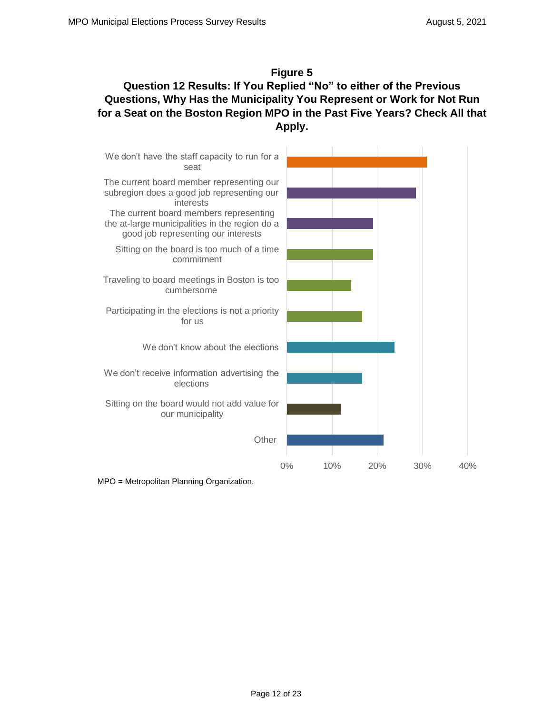### **Figure 5 Question 12 Results: If You Replied "No" to either of the Previous Questions, Why Has the Municipality You Represent or Work for Not Run for a Seat on the Boston Region MPO in the Past Five Years? Check All that Apply.**

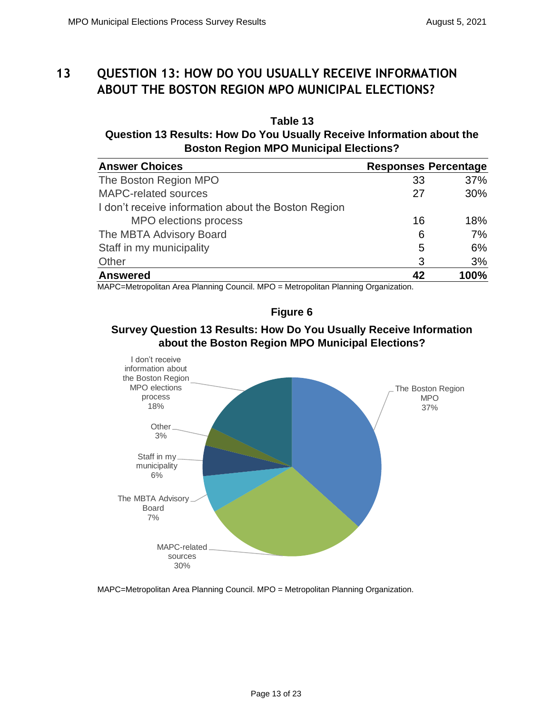# **13 QUESTION 13: HOW DO YOU USUALLY RECEIVE INFORMATION ABOUT THE BOSTON REGION MPO MUNICIPAL ELECTIONS?**

### **Table 13 Question 13 Results: How Do You Usually Receive Information about the Boston Region MPO Municipal Elections?**

| <b>Answer Choices</b>                               | <b>Responses Percentage</b> |      |
|-----------------------------------------------------|-----------------------------|------|
| The Boston Region MPO                               | 33                          | 37%  |
| <b>MAPC-related sources</b>                         | 27                          | 30%  |
| I don't receive information about the Boston Region |                             |      |
| MPO elections process                               | 16                          | 18%  |
| The MBTA Advisory Board                             | 6                           | 7%   |
| Staff in my municipality                            | 5                           | 6%   |
| Other                                               | 3                           | 3%   |
| <b>Answered</b>                                     |                             | 100% |

MAPC=Metropolitan Area Planning Council. MPO = Metropolitan Planning Organization.

### **Figure 6**

### **Survey Question 13 Results: How Do You Usually Receive Information about the Boston Region MPO Municipal Elections?**



MAPC=Metropolitan Area Planning Council. MPO = Metropolitan Planning Organization.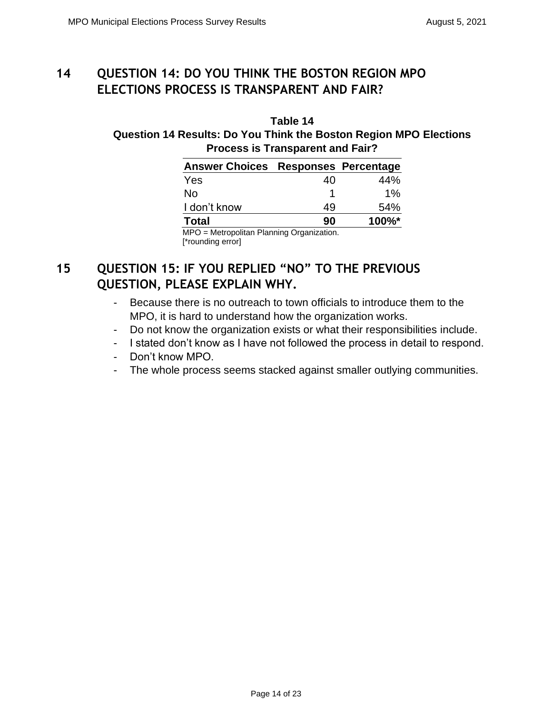# **14 QUESTION 14: DO YOU THINK THE BOSTON REGION MPO ELECTIONS PROCESS IS TRANSPARENT AND FAIR?**

### **Table 14 Question 14 Results: Do You Think the Boston Region MPO Elections Process is Transparent and Fair?**

| Answer Choices Responses Percentage        |    |       |
|--------------------------------------------|----|-------|
| Yes                                        | 40 | 44%   |
| No                                         |    | $1\%$ |
| I don't know                               | 49 | 54%   |
| <b>Total</b>                               | 90 | 100%* |
| $MPO - Metronolitan Plannina Oraanization$ |    |       |

MPO = Metropolitan Planning Organization. [\*rounding error]

# **15 QUESTION 15: IF YOU REPLIED "NO" TO THE PREVIOUS QUESTION, PLEASE EXPLAIN WHY.**

- Because there is no outreach to town officials to introduce them to the MPO, it is hard to understand how the organization works.
- Do not know the organization exists or what their responsibilities include.
- I stated don't know as I have not followed the process in detail to respond.
- Don't know MPO.
- The whole process seems stacked against smaller outlying communities.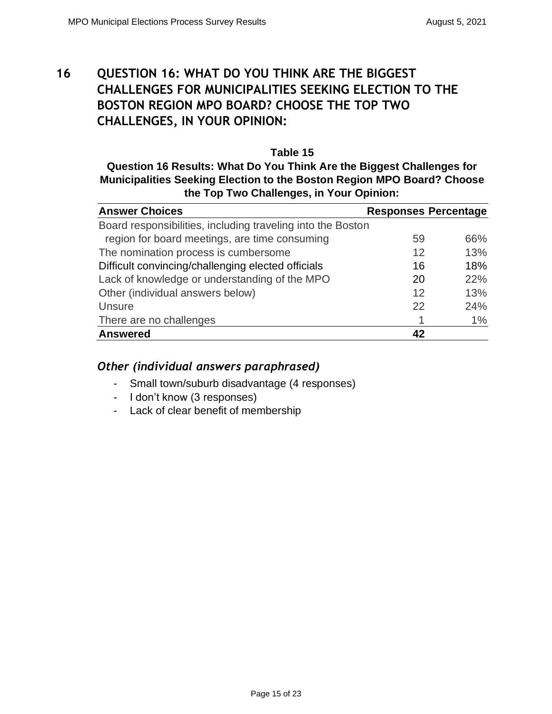# **16 QUESTION 16: WHAT DO YOU THINK ARE THE BIGGEST CHALLENGES FOR MUNICIPALITIES SEEKING ELECTION TO THE BOSTON REGION MPO BOARD? CHOOSE THE TOP TWO CHALLENGES, IN YOUR OPINION:**

### **Table 15 Question 16 Results: What Do You Think Are the Biggest Challenges for Municipalities Seeking Election to the Boston Region MPO Board? Choose the Top Two Challenges, in Your Opinion:**

| <b>Answer Choices</b>                                       | <b>Responses Percentage</b> |     |
|-------------------------------------------------------------|-----------------------------|-----|
| Board responsibilities, including traveling into the Boston |                             |     |
| region for board meetings, are time consuming               | 59                          | 66% |
| The nomination process is cumbersome                        | 12                          | 13% |
| Difficult convincing/challenging elected officials          | 16                          | 18% |
| Lack of knowledge or understanding of the MPO               | 20                          | 22% |
| Other (individual answers below)                            | 12                          | 13% |
| <b>Unsure</b>                                               | 22                          | 24% |
| There are no challenges                                     |                             | 1%  |
| <b>Answered</b>                                             | 42                          |     |

- Small town/suburb disadvantage (4 responses)
- I don't know (3 responses)
- Lack of clear benefit of membership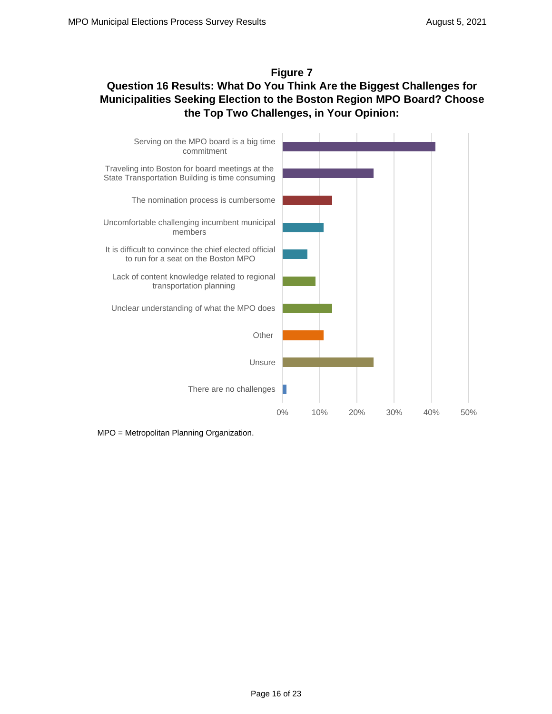### **Figure 7**

## **Question 16 Results: What Do You Think Are the Biggest Challenges for Municipalities Seeking Election to the Boston Region MPO Board? Choose the Top Two Challenges, in Your Opinion:**

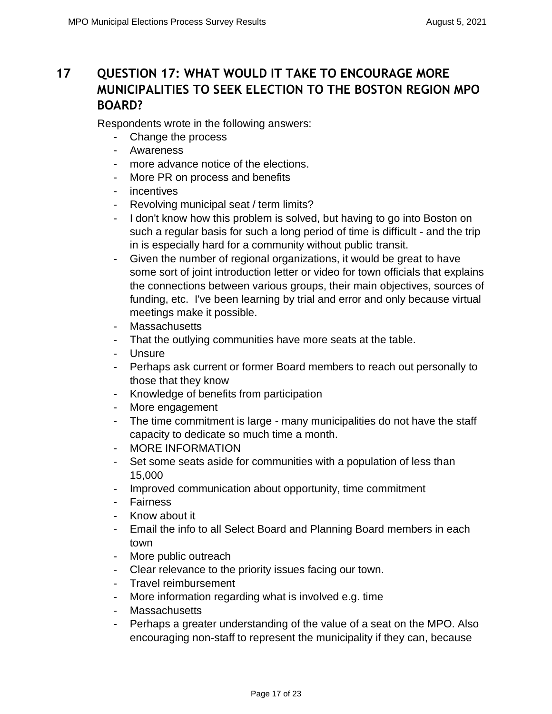# **17 QUESTION 17: WHAT WOULD IT TAKE TO ENCOURAGE MORE MUNICIPALITIES TO SEEK ELECTION TO THE BOSTON REGION MPO BOARD?**

Respondents wrote in the following answers:

- Change the process
- Awareness
- more advance notice of the elections.
- More PR on process and benefits
- incentives
- Revolving municipal seat / term limits?
- I don't know how this problem is solved, but having to go into Boston on such a regular basis for such a long period of time is difficult - and the trip in is especially hard for a community without public transit.
- Given the number of regional organizations, it would be great to have some sort of joint introduction letter or video for town officials that explains the connections between various groups, their main objectives, sources of funding, etc. I've been learning by trial and error and only because virtual meetings make it possible.
- Massachusetts
- That the outlying communities have more seats at the table.
- Unsure
- Perhaps ask current or former Board members to reach out personally to those that they know
- Knowledge of benefits from participation
- More engagement
- The time commitment is large many municipalities do not have the staff capacity to dedicate so much time a month.
- MORE INFORMATION
- Set some seats aside for communities with a population of less than 15,000
- Improved communication about opportunity, time commitment
- Fairness
- Know about it
- Email the info to all Select Board and Planning Board members in each town
- More public outreach
- Clear relevance to the priority issues facing our town.
- Travel reimbursement
- More information regarding what is involved e.g. time
- Massachusetts
- Perhaps a greater understanding of the value of a seat on the MPO. Also encouraging non-staff to represent the municipality if they can, because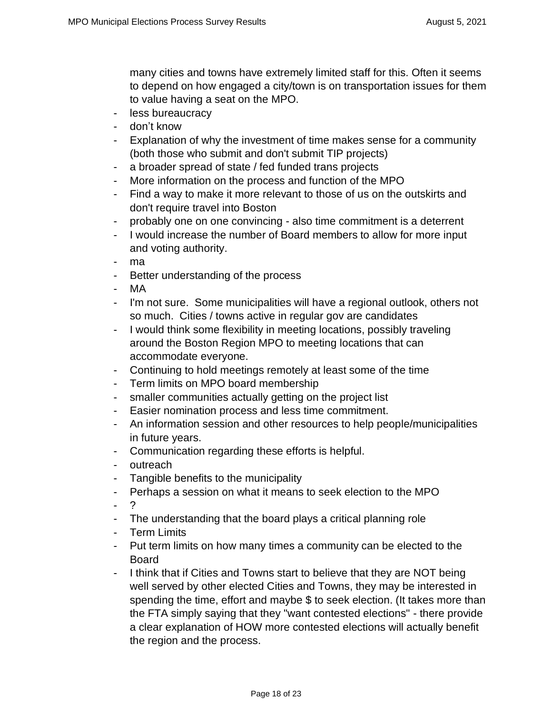many cities and towns have extremely limited staff for this. Often it seems to depend on how engaged a city/town is on transportation issues for them to value having a seat on the MPO.

- less bureaucracy
- don't know
- Explanation of why the investment of time makes sense for a community (both those who submit and don't submit TIP projects)
- a broader spread of state / fed funded trans projects
- More information on the process and function of the MPO
- Find a way to make it more relevant to those of us on the outskirts and don't require travel into Boston
- probably one on one convincing also time commitment is a deterrent
- I would increase the number of Board members to allow for more input and voting authority.
- ma
- Better understanding of the process
- MA
- I'm not sure. Some municipalities will have a regional outlook, others not so much. Cities / towns active in regular gov are candidates
- I would think some flexibility in meeting locations, possibly traveling around the Boston Region MPO to meeting locations that can accommodate everyone.
- Continuing to hold meetings remotely at least some of the time
- Term limits on MPO board membership
- smaller communities actually getting on the project list
- Easier nomination process and less time commitment.
- An information session and other resources to help people/municipalities in future years.
- Communication regarding these efforts is helpful.
- outreach
- Tangible benefits to the municipality
- Perhaps a session on what it means to seek election to the MPO
- ?
- The understanding that the board plays a critical planning role
- Term Limits
- Put term limits on how many times a community can be elected to the Board
- I think that if Cities and Towns start to believe that they are NOT being well served by other elected Cities and Towns, they may be interested in spending the time, effort and maybe \$ to seek election. (It takes more than the FTA simply saying that they "want contested elections" - there provide a clear explanation of HOW more contested elections will actually benefit the region and the process.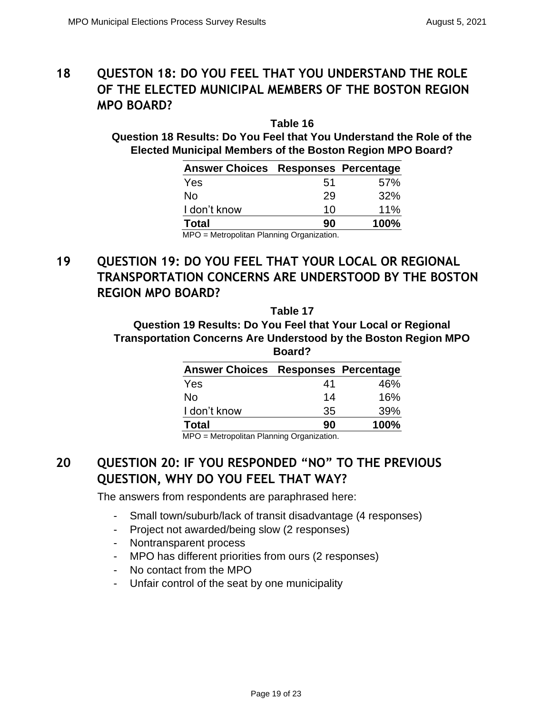# **18 QUESTON 18: DO YOU FEEL THAT YOU UNDERSTAND THE ROLE OF THE ELECTED MUNICIPAL MEMBERS OF THE BOSTON REGION MPO BOARD?**

**Table 16 Question 18 Results: Do You Feel that You Understand the Role of the Elected Municipal Members of the Boston Region MPO Board?**

| <b>Answer Choices Responses Percentage</b> |     |      |
|--------------------------------------------|-----|------|
| Yes                                        | .51 | 57%  |
| No                                         | 29  | 32%  |
| I don't know                               | 10  | 11%  |
| <b>Total</b>                               | 90  | 100% |
| MPO = Metropolitan Planning Organization.  |     |      |

# **19 QUESTION 19: DO YOU FEEL THAT YOUR LOCAL OR REGIONAL TRANSPORTATION CONCERNS ARE UNDERSTOOD BY THE BOSTON REGION MPO BOARD?**

**Table 17**

**Question 19 Results: Do You Feel that Your Local or Regional Transportation Concerns Are Understood by the Boston Region MPO Board?**

| <b>Answer Choices Responses Percentage</b> |    |      |
|--------------------------------------------|----|------|
| Yes                                        | 41 | 46%  |
| Nο                                         | 14 | 16%  |
| I don't know                               | 35 | 39%  |
| <b>Total</b>                               | 90 | 100% |

MPO = Metropolitan Planning Organization.

# **20 QUESTION 20: IF YOU RESPONDED "NO" TO THE PREVIOUS QUESTION, WHY DO YOU FEEL THAT WAY?**

The answers from respondents are paraphrased here:

- Small town/suburb/lack of transit disadvantage (4 responses)
- Project not awarded/being slow (2 responses)
- Nontransparent process
- MPO has different priorities from ours (2 responses)
- No contact from the MPO
- Unfair control of the seat by one municipality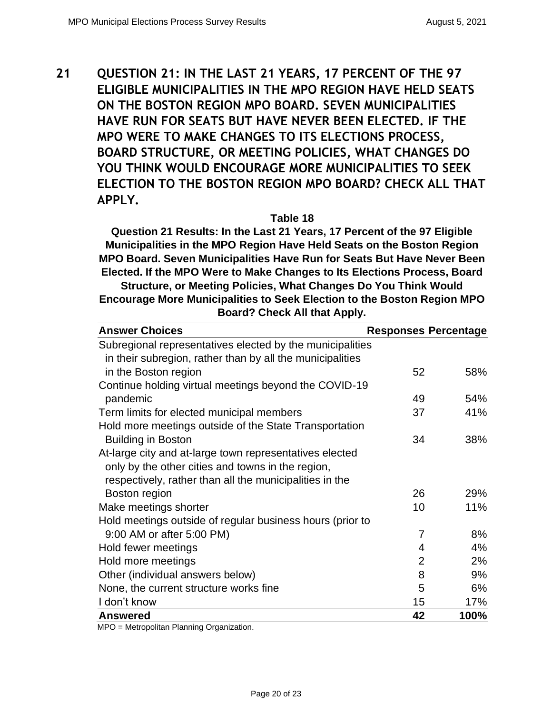**21 QUESTION 21: IN THE LAST 21 YEARS, 17 PERCENT OF THE 97 ELIGIBLE MUNICIPALITIES IN THE MPO REGION HAVE HELD SEATS ON THE BOSTON REGION MPO BOARD. SEVEN MUNICIPALITIES HAVE RUN FOR SEATS BUT HAVE NEVER BEEN ELECTED. IF THE MPO WERE TO MAKE CHANGES TO ITS ELECTIONS PROCESS, BOARD STRUCTURE, OR MEETING POLICIES, WHAT CHANGES DO YOU THINK WOULD ENCOURAGE MORE MUNICIPALITIES TO SEEK ELECTION TO THE BOSTON REGION MPO BOARD? CHECK ALL THAT APPLY.**

**Table 18**

**Question 21 Results: In the Last 21 Years, 17 Percent of the 97 Eligible Municipalities in the MPO Region Have Held Seats on the Boston Region MPO Board. Seven Municipalities Have Run for Seats But Have Never Been Elected. If the MPO Were to Make Changes to Its Elections Process, Board Structure, or Meeting Policies, What Changes Do You Think Would Encourage More Municipalities to Seek Election to the Boston Region MPO Board? Check All that Apply.**

| <b>Answer Choices</b>                                     | <b>Responses Percentage</b> |      |
|-----------------------------------------------------------|-----------------------------|------|
| Subregional representatives elected by the municipalities |                             |      |
| in their subregion, rather than by all the municipalities |                             |      |
| in the Boston region                                      | 52                          | 58%  |
| Continue holding virtual meetings beyond the COVID-19     |                             |      |
| pandemic                                                  | 49                          | 54%  |
| Term limits for elected municipal members                 | 37                          | 41%  |
| Hold more meetings outside of the State Transportation    |                             |      |
| <b>Building in Boston</b>                                 | 34                          | 38%  |
| At-large city and at-large town representatives elected   |                             |      |
| only by the other cities and towns in the region,         |                             |      |
| respectively, rather than all the municipalities in the   |                             |      |
| Boston region                                             | 26                          | 29%  |
| Make meetings shorter                                     | 10                          | 11%  |
| Hold meetings outside of regular business hours (prior to |                             |      |
| 9:00 AM or after 5:00 PM)                                 | 7                           | 8%   |
| Hold fewer meetings                                       | 4                           | 4%   |
| Hold more meetings                                        | $\overline{2}$              | 2%   |
| Other (individual answers below)                          | 8                           | 9%   |
| None, the current structure works fine                    | 5                           | 6%   |
| I don't know                                              | 15                          | 17%  |
| <b>Answered</b>                                           | 42                          | 100% |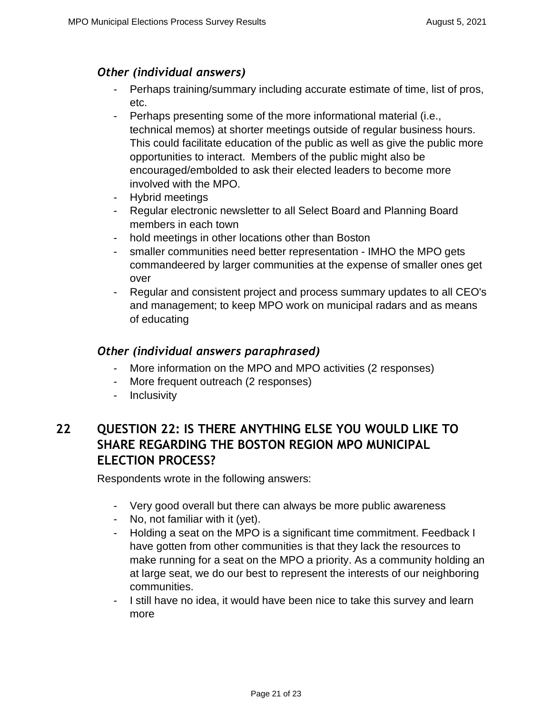### *Other (individual answers)*

- Perhaps training/summary including accurate estimate of time, list of pros, etc.
- Perhaps presenting some of the more informational material (i.e., technical memos) at shorter meetings outside of regular business hours. This could facilitate education of the public as well as give the public more opportunities to interact. Members of the public might also be encouraged/embolded to ask their elected leaders to become more involved with the MPO.
- Hybrid meetings
- Regular electronic newsletter to all Select Board and Planning Board members in each town
- hold meetings in other locations other than Boston
- smaller communities need better representation IMHO the MPO gets commandeered by larger communities at the expense of smaller ones get over
- Regular and consistent project and process summary updates to all CEO's and management; to keep MPO work on municipal radars and as means of educating

### *Other (individual answers paraphrased)*

- More information on the MPO and MPO activities (2 responses)
- More frequent outreach (2 responses)
- Inclusivity

# **22 QUESTION 22: IS THERE ANYTHING ELSE YOU WOULD LIKE TO SHARE REGARDING THE BOSTON REGION MPO MUNICIPAL ELECTION PROCESS?**

Respondents wrote in the following answers:

- Very good overall but there can always be more public awareness
- No, not familiar with it (yet).
- Holding a seat on the MPO is a significant time commitment. Feedback I have gotten from other communities is that they lack the resources to make running for a seat on the MPO a priority. As a community holding an at large seat, we do our best to represent the interests of our neighboring communities.
- I still have no idea, it would have been nice to take this survey and learn more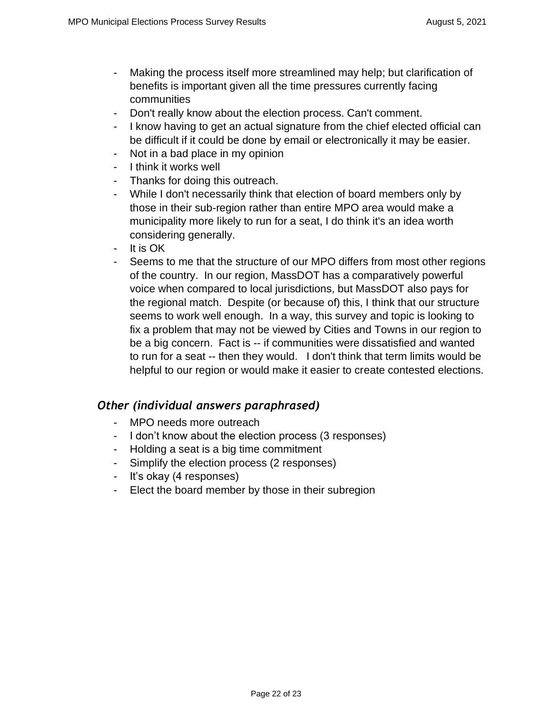- Making the process itself more streamlined may help; but clarification of benefits is important given all the time pressures currently facing communities
- Don't really know about the election process. Can't comment.
- I know having to get an actual signature from the chief elected official can be difficult if it could be done by email or electronically it may be easier.
- Not in a bad place in my opinion
- I think it works well
- Thanks for doing this outreach.
- While I don't necessarily think that election of board members only by those in their sub-region rather than entire MPO area would make a municipality more likely to run for a seat, I do think it's an idea worth considering generally.
- It is OK
- Seems to me that the structure of our MPO differs from most other regions of the country. In our region, MassDOT has a comparatively powerful voice when compared to local jurisdictions, but MassDOT also pays for the regional match. Despite (or because of) this, I think that our structure seems to work well enough. In a way, this survey and topic is looking to fix a problem that may not be viewed by Cities and Towns in our region to be a big concern. Fact is -- if communities were dissatisfied and wanted to run for a seat -- then they would. I don't think that term limits would be helpful to our region or would make it easier to create contested elections.

- MPO needs more outreach
- I don't know about the election process (3 responses)
- Holding a seat is a big time commitment
- Simplify the election process (2 responses)
- It's okay (4 responses)
- Elect the board member by those in their subregion